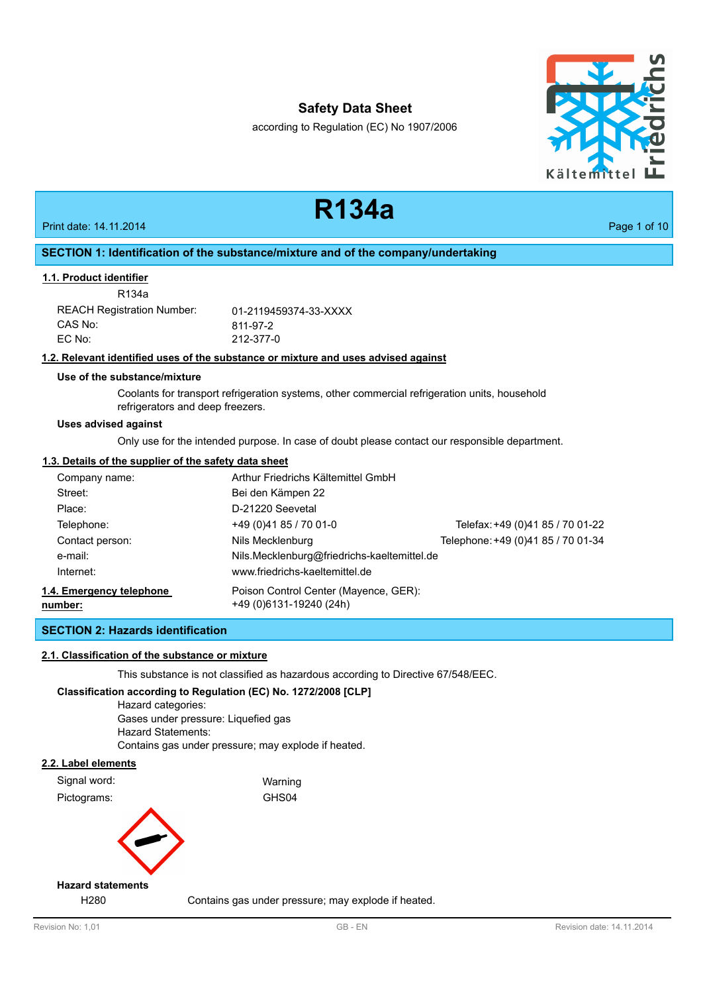according to Regulation (EC) No 1907/2006

**R134a**



# Print date: 14.11.2014 **Page 1 of 10 SECTION 1: Identification of the substance/mixture and of the company/undertaking** R134a **1.1. Product identifier** REACH Registration Number: 01-2119459374-33-XXXX CAS No: 811-97-2 EC No: 212-377-0 **1.2. Relevant identified uses of the substance or mixture and uses advised against Use of the substance/mixture** Coolants for transport refrigeration systems, other commercial refrigeration units, household refrigerators and deep freezers. Only use for the intended purpose. In case of doubt please contact our responsible department. **Uses advised against 1.3. Details of the supplier of the safety data sheet** Company name: Arthur Friedrichs Kältemittel GmbH Street: Bei den Kämpen 22 Place: D-21220 Seevetal Telephone: +49 (0)41 85 / 70 01-0 Telefax:+49 (0)41 85 / 70 01-22 Contact person: Nils Mecklenburg Telephone:+49 (0)41 85 / 70 01-34 e-mail: Nils.Mecklenburg@friedrichs-kaeltemittel.de Internet: [www.friedrichs-kaeltemittel.de](http://www.friedrichs-kaeltemittel.de) Poison Control Center (Mayence, GER): +49 (0)6131-19240 (24h) **1.4. Emergency telephone number: SECTION 2: Hazards identification 2.1. Classification of the substance or mixture** This substance is not classified as hazardous according to Directive 67/548/EEC. **Classification according to Regulation (EC) No. 1272/2008 [CLP]** Hazard categories: Gases under pressure: Liquefied gas Hazard Statements: Contains gas under pressure; may explode if heated. **2.2. Label elements** Signal word: Warning Pictograms: GHS04 H280 Contains gas under pressure; may explode if heated. **Hazard statements**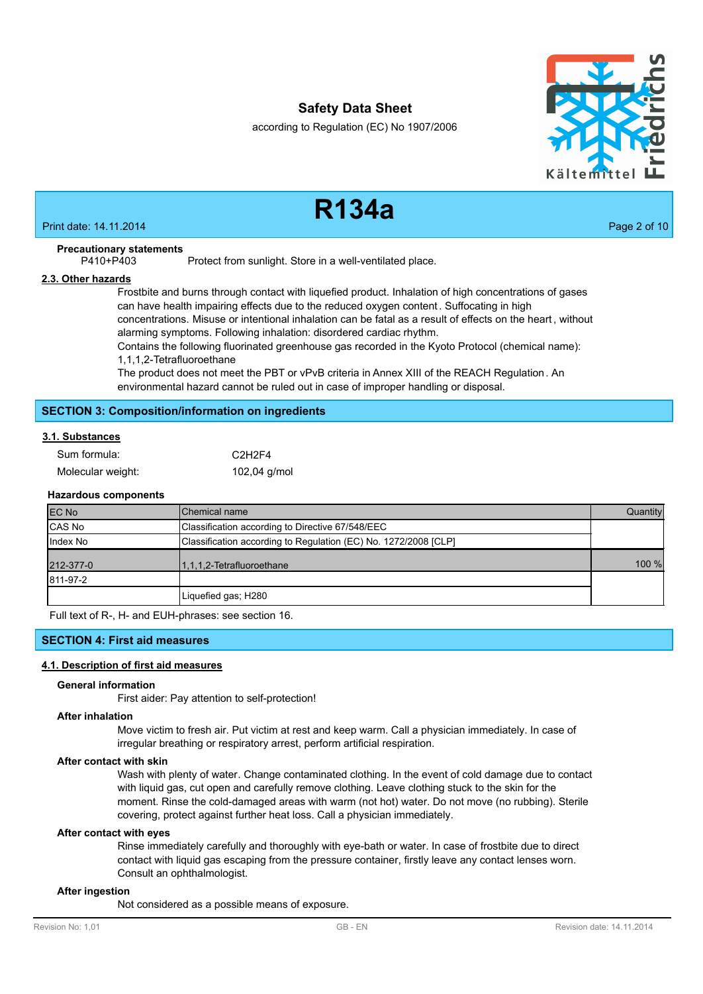according to Regulation (EC) No 1907/2006



# **R134a**

Print date: 14.11.2014 **Page 2 of 10** 

## **Precautionary statements**

P410+P403 Protect from sunlight. Store in a well-ventilated place.

#### **2.3. Other hazards**

Frostbite and burns through contact with liquefied product. Inhalation of high concentrations of gases can have health impairing effects due to the reduced oxygen content . Suffocating in high concentrations. Misuse or intentional inhalation can be fatal as a result of effects on the heart , without alarming symptoms. Following inhalation: disordered cardiac rhythm.

Contains the following fluorinated greenhouse gas recorded in the Kyoto Protocol (chemical name): 1,1,1,2-Tetrafluoroethane

The product does not meet the PBT or vPvB criteria in Annex XIII of the REACH Regulation. An environmental hazard cannot be ruled out in case of improper handling or disposal.

## **SECTION 3: Composition/information on ingredients**

## **3.1. Substances**

| Sum formula:      | C <sub>2</sub> H <sub>2F4</sub> |
|-------------------|---------------------------------|
| Molecular weight: | 102,04 $g/mol$                  |

#### **Hazardous components**

| <b>EC No</b> | <b>I</b> Chemical name                                          | Quantity |
|--------------|-----------------------------------------------------------------|----------|
| CAS No       | Classification according to Directive 67/548/EEC                |          |
| Index No     | Classification according to Regulation (EC) No. 1272/2008 [CLP] |          |
| 212-377-0    | 1,1,1,2-Tetrafluoroethane                                       | 100 %    |
| 811-97-2     |                                                                 |          |
|              | Liquefied gas; H280                                             |          |

Full text of R-, H- and EUH-phrases: see section 16.

## **SECTION 4: First aid measures**

## **4.1. Description of first aid measures**

#### **General information**

First aider: Pay attention to self-protection!

#### **After inhalation**

Move victim to fresh air. Put victim at rest and keep warm. Call a physician immediately. In case of irregular breathing or respiratory arrest, perform artificial respiration.

#### **After contact with skin**

Wash with plenty of water. Change contaminated clothing. In the event of cold damage due to contact with liquid gas, cut open and carefully remove clothing. Leave clothing stuck to the skin for the moment. Rinse the cold-damaged areas with warm (not hot) water. Do not move (no rubbing). Sterile covering, protect against further heat loss. Call a physician immediately.

#### **After contact with eyes**

Rinse immediately carefully and thoroughly with eye-bath or water. In case of frostbite due to direct contact with liquid gas escaping from the pressure container, firstly leave any contact lenses worn. Consult an ophthalmologist.

#### **After ingestion**

Not considered as a possible means of exposure.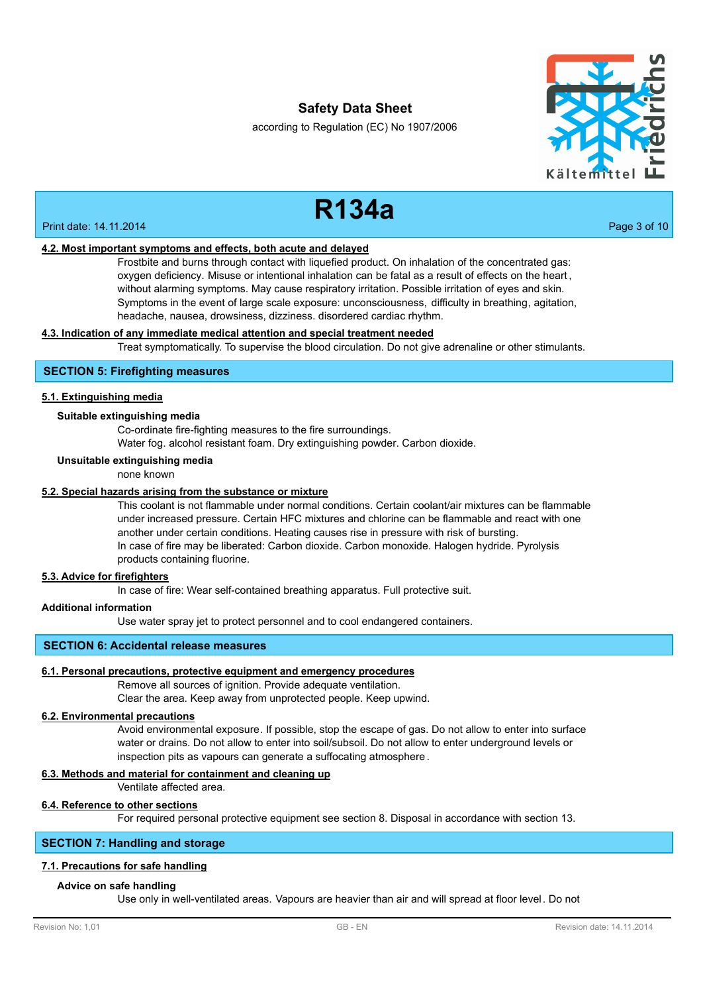according to Regulation (EC) No 1907/2006



**R134a**

#### Print date: 14.11.2014 **Page 3 of 10**

#### **4.2. Most important symptoms and effects, both acute and delayed**

Frostbite and burns through contact with liquefied product. On inhalation of the concentrated gas: oxygen deficiency. Misuse or intentional inhalation can be fatal as a result of effects on the heart , without alarming symptoms. May cause respiratory irritation. Possible irritation of eyes and skin. Symptoms in the event of large scale exposure: unconsciousness, difficulty in breathing, agitation, headache, nausea, drowsiness, dizziness. disordered cardiac rhythm.

## **4.3. Indication of any immediate medical attention and special treatment needed**

Treat symptomatically. To supervise the blood circulation. Do not give adrenaline or other stimulants.

## **SECTION 5: Firefighting measures**

#### **5.1. Extinguishing media**

#### **Suitable extinguishing media**

Co-ordinate fire-fighting measures to the fire surroundings.

Water fog. alcohol resistant foam. Dry extinguishing powder. Carbon dioxide.

#### **Unsuitable extinguishing media**

none known

## **5.2. Special hazards arising from the substance or mixture**

This coolant is not flammable under normal conditions. Certain coolant/air mixtures can be flammable under increased pressure. Certain HFC mixtures and chlorine can be flammable and react with one another under certain conditions. Heating causes rise in pressure with risk of bursting. In case of fire may be liberated: Carbon dioxide. Carbon monoxide. Halogen hydride. Pyrolysis products containing fluorine.

#### **5.3. Advice for firefighters**

In case of fire: Wear self-contained breathing apparatus. Full protective suit.

## **Additional information**

Use water spray jet to protect personnel and to cool endangered containers.

## **SECTION 6: Accidental release measures**

#### **6.1. Personal precautions, protective equipment and emergency procedures**

Remove all sources of ignition. Provide adequate ventilation.

Clear the area. Keep away from unprotected people. Keep upwind.

#### **6.2. Environmental precautions**

Avoid environmental exposure. If possible, stop the escape of gas. Do not allow to enter into surface water or drains. Do not allow to enter into soil/subsoil. Do not allow to enter underground levels or inspection pits as vapours can generate a suffocating atmosphere .

## **6.3. Methods and material for containment and cleaning up**

Ventilate affected area.

#### **6.4. Reference to other sections**

For required personal protective equipment see section 8. Disposal in accordance with section 13.

## **SECTION 7: Handling and storage**

#### **7.1. Precautions for safe handling**

#### **Advice on safe handling**

Use only in well-ventilated areas. Vapours are heavier than air and will spread at floor level. Do not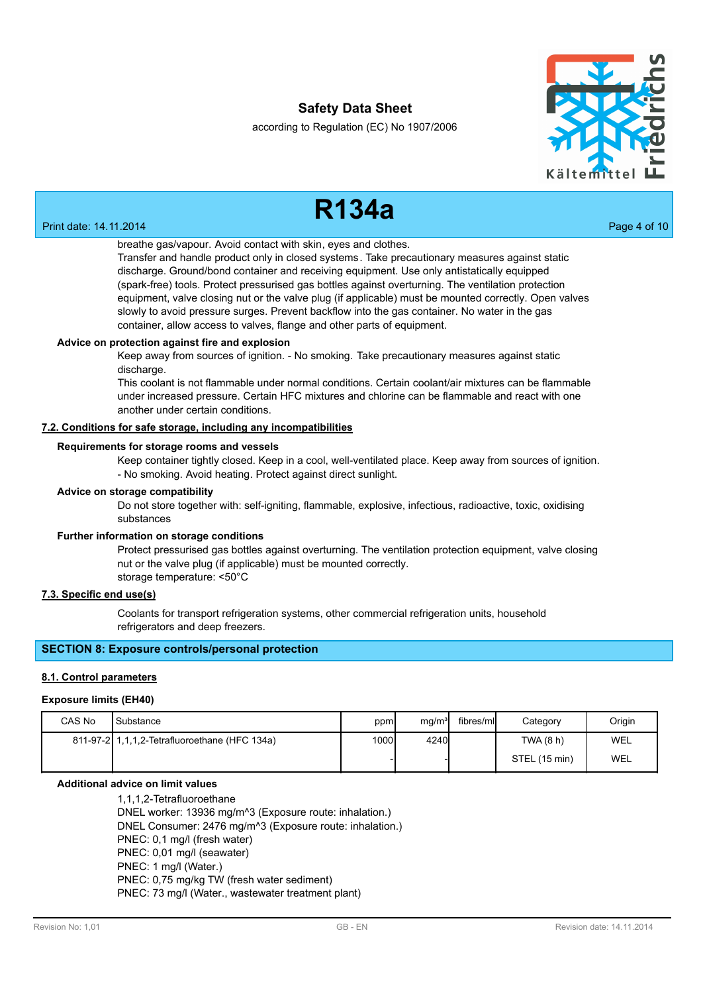according to Regulation (EC) No 1907/2006



#### Print date: 14.11.2014 **Page 4 of 10**

**R134a**

## breathe gas/vapour. Avoid contact with skin, eyes and clothes.

Transfer and handle product only in closed systems. Take precautionary measures against static discharge. Ground/bond container and receiving equipment. Use only antistatically equipped (spark-free) tools. Protect pressurised gas bottles against overturning. The ventilation protection equipment, valve closing nut or the valve plug (if applicable) must be mounted correctly. Open valves slowly to avoid pressure surges. Prevent backflow into the gas container. No water in the gas container, allow access to valves, flange and other parts of equipment.

## **Advice on protection against fire and explosion**

Keep away from sources of ignition. - No smoking. Take precautionary measures against static discharge.

This coolant is not flammable under normal conditions. Certain coolant/air mixtures can be flammable under increased pressure. Certain HFC mixtures and chlorine can be flammable and react with one another under certain conditions.

#### **7.2. Conditions for safe storage, including any incompatibilities**

#### **Requirements for storage rooms and vessels**

Keep container tightly closed. Keep in a cool, well-ventilated place. Keep away from sources of ignition. - No smoking. Avoid heating. Protect against direct sunlight.

#### **Advice on storage compatibility**

Do not store together with: self-igniting, flammable, explosive, infectious, radioactive, toxic, oxidising substances

#### **Further information on storage conditions**

Protect pressurised gas bottles against overturning. The ventilation protection equipment, valve closing nut or the valve plug (if applicable) must be mounted correctly. storage temperature: <50°C

## **7.3. Specific end use(s)**

Coolants for transport refrigeration systems, other commercial refrigeration units, household refrigerators and deep freezers.

## **SECTION 8: Exposure controls/personal protection**

#### **8.1. Control parameters**

#### **Exposure limits (EH40)**

| CAS No | Substance                                     | ppm   | mq/m <sup>3</sup> | fibres/mll | Category      | Origin |
|--------|-----------------------------------------------|-------|-------------------|------------|---------------|--------|
|        | 811-97-2 1,1,1,2-Tetrafluoroethane (HFC 134a) | 1000l | 4240              |            | TWA(8 h)      | WEL    |
|        |                                               |       |                   |            | STEL (15 min) | WEL    |

# **Additional advice on limit values**

1,1,1,2-Tetrafluoroethane DNEL worker: 13936 mg/m^3 (Exposure route: inhalation.) DNEL Consumer: 2476 mg/m^3 (Exposure route: inhalation.) PNEC: 0,1 mg/l (fresh water) PNEC: 0,01 mg/l (seawater) PNEC: 1 mg/l (Water.) PNEC: 0,75 mg/kg TW (fresh water sediment) PNEC: 73 mg/l (Water., wastewater treatment plant)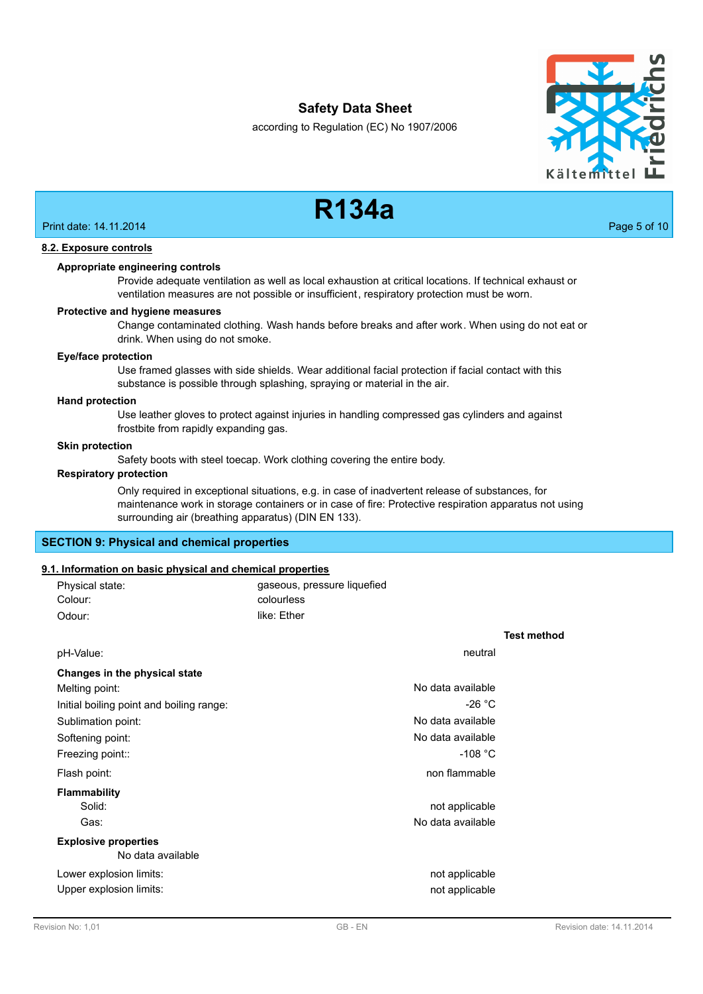according to Regulation (EC) No 1907/2006



# **R134a**

Print date: 14.11.2014 **Page 5 of 10** 

## **8.2. Exposure controls**

#### **Appropriate engineering controls**

Provide adequate ventilation as well as local exhaustion at critical locations. If technical exhaust or ventilation measures are not possible or insufficient, respiratory protection must be worn.

#### **Protective and hygiene measures**

Change contaminated clothing. Wash hands before breaks and after work. When using do not eat or drink. When using do not smoke.

## **Eye/face protection**

Use framed glasses with side shields. Wear additional facial protection if facial contact with this substance is possible through splashing, spraying or material in the air.

#### **Hand protection**

Use leather gloves to protect against injuries in handling compressed gas cylinders and against frostbite from rapidly expanding gas.

#### **Skin protection**

Safety boots with steel toecap. Work clothing covering the entire body.

#### **Respiratory protection**

Only required in exceptional situations, e.g. in case of inadvertent release of substances, for maintenance work in storage containers or in case of fire: Protective respiration apparatus not using surrounding air (breathing apparatus) (DIN EN 133).

## **SECTION 9: Physical and chemical properties**

## **9.1. Information on basic physical and chemical properties**

| Physical state: | gaseous, pressure liquefied |
|-----------------|-----------------------------|
| Colour:         | colourless                  |
| Odour:          | like: Ether                 |

|                                                  |                   | <b>Test method</b> |
|--------------------------------------------------|-------------------|--------------------|
| pH-Value:                                        | neutral           |                    |
| Changes in the physical state                    |                   |                    |
| Melting point:                                   | No data available |                    |
| Initial boiling point and boiling range:         | $-26 °C$          |                    |
| Sublimation point:                               | No data available |                    |
| Softening point:                                 | No data available |                    |
| Freezing point::                                 | -108 $^{\circ}$ C |                    |
| Flash point:                                     | non flammable     |                    |
| <b>Flammability</b>                              |                   |                    |
| Solid:                                           | not applicable    |                    |
| Gas:                                             | No data available |                    |
| <b>Explosive properties</b><br>No data available |                   |                    |
| Lower explosion limits:                          | not applicable    |                    |
| Upper explosion limits:                          | not applicable    |                    |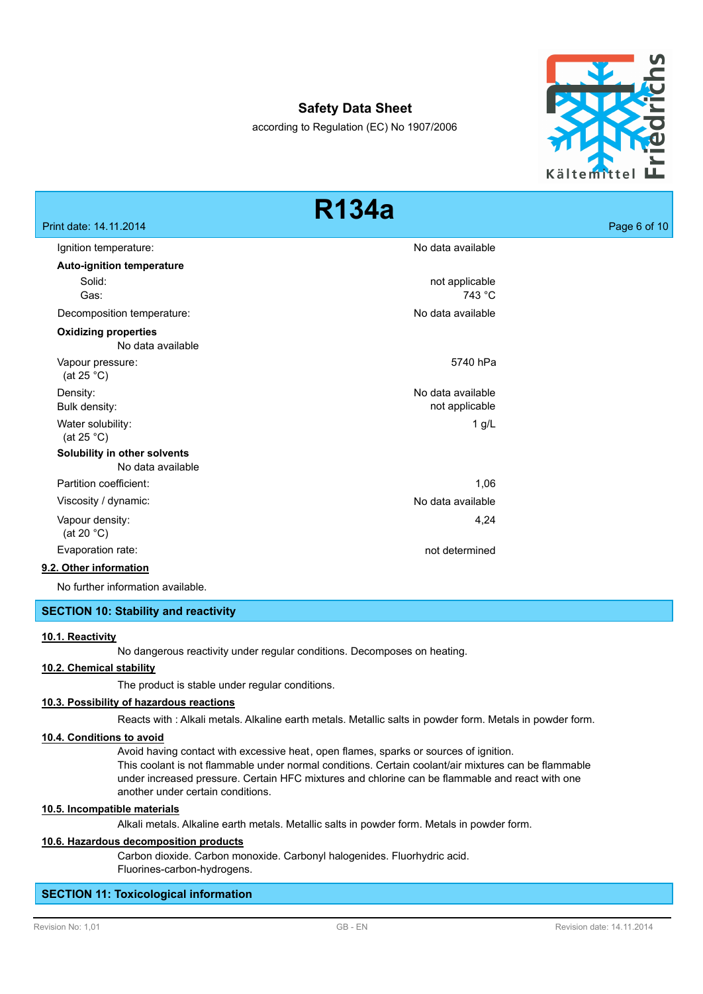according to Regulation (EC) No 1907/2006



|                                                   | <b>R134a</b>      |              |
|---------------------------------------------------|-------------------|--------------|
| Print date: 14.11.2014                            |                   | Page 6 of 10 |
| Ignition temperature:                             | No data available |              |
| <b>Auto-ignition temperature</b>                  |                   |              |
| Solid:                                            | not applicable    |              |
| Gas:                                              | 743 °C            |              |
| Decomposition temperature:                        | No data available |              |
| <b>Oxidizing properties</b><br>No data available  |                   |              |
| Vapour pressure:<br>(at 25 $^{\circ}$ C)          | 5740 hPa          |              |
| Density:                                          | No data available |              |
| Bulk density:                                     | not applicable    |              |
| Water solubility:<br>(at 25 $^{\circ}$ C)         | $1$ g/L           |              |
| Solubility in other solvents<br>No data available |                   |              |
| Partition coefficient:                            | 1,06              |              |
| Viscosity / dynamic:                              | No data available |              |
| Vapour density:<br>(at 20 $^{\circ}$ C)           | 4,24              |              |
| Evaporation rate:                                 | not determined    |              |
| 9.2. Other information                            |                   |              |
| No further information available.                 |                   |              |

#### **SECTION 10: Stability and reactivity**

#### **10.1. Reactivity**

No dangerous reactivity under regular conditions. Decomposes on heating.

## **10.2. Chemical stability**

The product is stable under regular conditions.

#### **10.3. Possibility of hazardous reactions**

Reacts with : Alkali metals. Alkaline earth metals. Metallic salts in powder form. Metals in powder form.

#### **10.4. Conditions to avoid**

Avoid having contact with excessive heat, open flames, sparks or sources of ignition. This coolant is not flammable under normal conditions. Certain coolant/air mixtures can be flammable under increased pressure. Certain HFC mixtures and chlorine can be flammable and react with one another under certain conditions.

#### **10.5. Incompatible materials**

Alkali metals. Alkaline earth metals. Metallic salts in powder form. Metals in powder form.

#### **10.6. Hazardous decomposition products**

Carbon dioxide. Carbon monoxide. Carbonyl halogenides. Fluorhydric acid. Fluorines-carbon-hydrogens.

#### **SECTION 11: Toxicological information**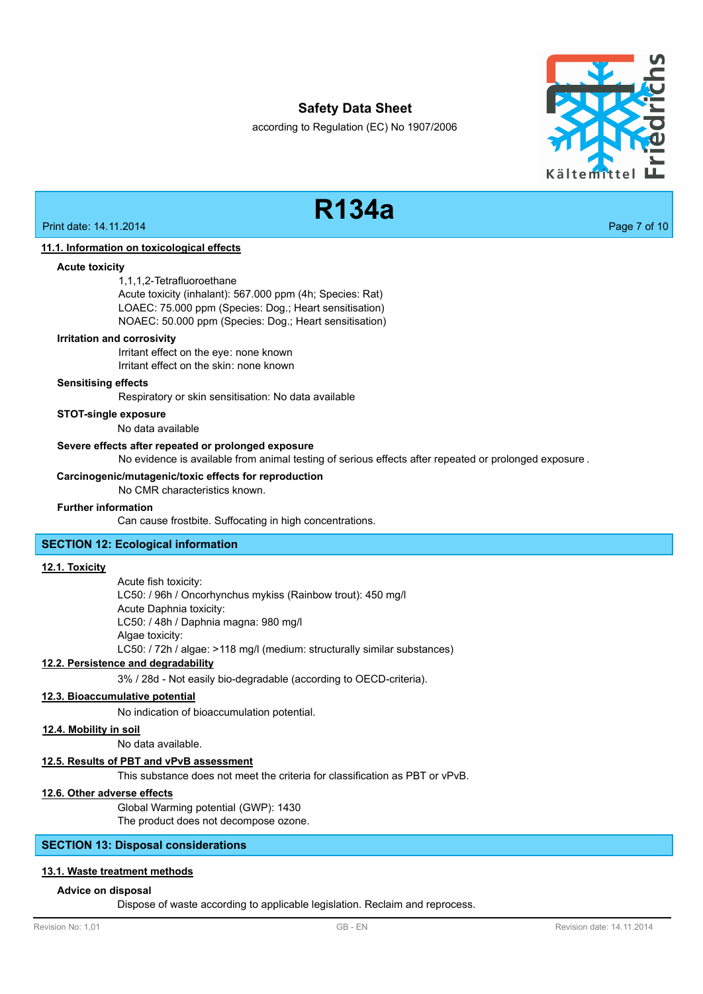according to Regulation (EC) No 1907/2006



# **R134a**

Print date: 14.11.2014 **Page 7 of 10** 

#### **11.1. Information on toxicological effects**

**Acute toxicity**

1,1,1,2-Tetrafluoroethane Acute toxicity (inhalant): 567.000 ppm (4h; Species: Rat) LOAEC: 75.000 ppm (Species: Dog.; Heart sensitisation)

NOAEC: 50.000 ppm (Species: Dog.; Heart sensitisation)

#### **Irritation and corrosivity**

Irritant effect on the eye: none known Irritant effect on the skin: none known

#### **Sensitising effects**

Respiratory or skin sensitisation: No data available

**STOT-single exposure**

No data available

#### **Severe effects after repeated or prolonged exposure**

No evidence is available from animal testing of serious effects after repeated or prolonged exposure .

#### **Carcinogenic/mutagenic/toxic effects for reproduction**

No CMR characteristics known.

#### **Further information**

Can cause frostbite. Suffocating in high concentrations.

## **SECTION 12: Ecological information**

## **12.1. Toxicity**

Acute fish toxicity: LC50: / 96h / Oncorhynchus mykiss (Rainbow trout): 450 mg/l Acute Daphnia toxicity: LC50: / 48h / Daphnia magna: 980 mg/l Algae toxicity: LC50: / 72h / algae: >118 mg/l (medium: structurally similar substances)

## **12.2. Persistence and degradability**

3% / 28d - Not easily bio-degradable (according to OECD-criteria).

#### **12.3. Bioaccumulative potential**

No indication of bioaccumulation potential.

#### **12.4. Mobility in soil**

No data available.

## **12.5. Results of PBT and vPvB assessment**

This substance does not meet the criteria for classification as PBT or vPvB.

#### **12.6. Other adverse effects**

Global Warming potential (GWP): 1430 The product does not decompose ozone.

#### **SECTION 13: Disposal considerations**

#### **13.1. Waste treatment methods**

#### **Advice on disposal**

Dispose of waste according to applicable legislation. Reclaim and reprocess.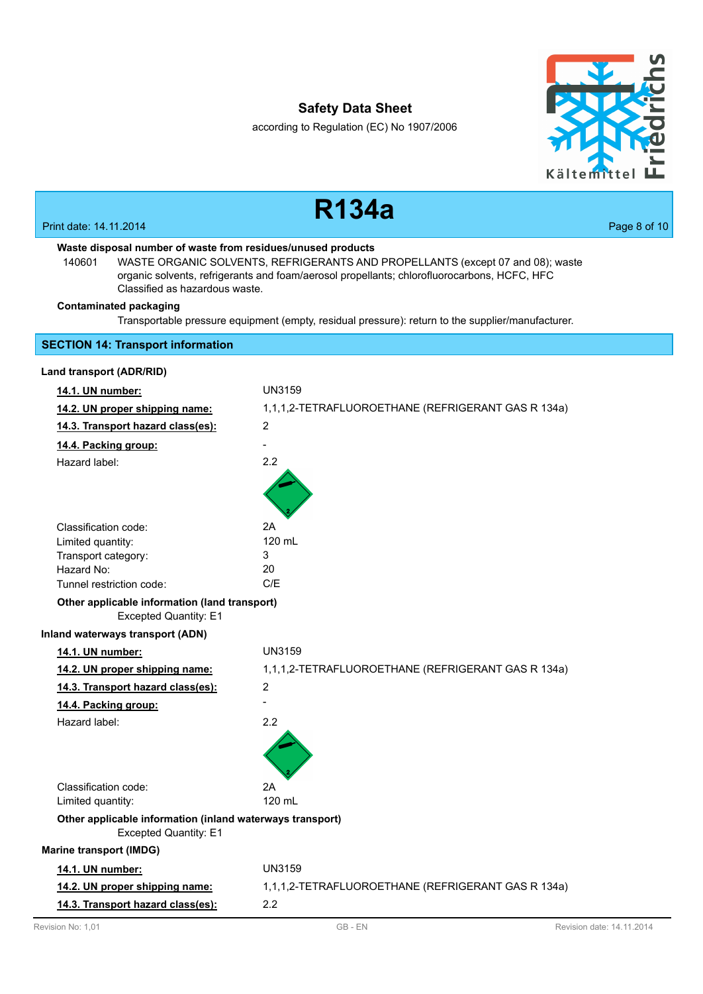according to Regulation (EC) No 1907/2006



|                                                                                                                                           | <b>R134a</b>                                                                                                                                                                  |              |
|-------------------------------------------------------------------------------------------------------------------------------------------|-------------------------------------------------------------------------------------------------------------------------------------------------------------------------------|--------------|
| Print date: 14.11.2014                                                                                                                    |                                                                                                                                                                               | Page 8 of 10 |
| Waste disposal number of waste from residues/unused products<br>140601<br>Classified as hazardous waste.<br><b>Contaminated packaging</b> | WASTE ORGANIC SOLVENTS, REFRIGERANTS AND PROPELLANTS (except 07 and 08); waste<br>organic solvents, refrigerants and foam/aerosol propellants; chlorofluorocarbons, HCFC, HFC |              |
|                                                                                                                                           | Transportable pressure equipment (empty, residual pressure): return to the supplier/manufacturer.                                                                             |              |
| <b>SECTION 14: Transport information</b>                                                                                                  |                                                                                                                                                                               |              |
| Land transport (ADR/RID)                                                                                                                  |                                                                                                                                                                               |              |
| 14.1. UN number:                                                                                                                          | UN3159                                                                                                                                                                        |              |
| 14.2. UN proper shipping name:                                                                                                            | 1,1,1,2-TETRAFLUOROETHANE (REFRIGERANT GAS R 134a)                                                                                                                            |              |
| 14.3. Transport hazard class(es):                                                                                                         | 2                                                                                                                                                                             |              |
| 14.4. Packing group:                                                                                                                      |                                                                                                                                                                               |              |
| Hazard label:                                                                                                                             | 2.2                                                                                                                                                                           |              |
|                                                                                                                                           |                                                                                                                                                                               |              |
| Classification code:                                                                                                                      | 2A                                                                                                                                                                            |              |
| Limited quantity:                                                                                                                         | 120 mL                                                                                                                                                                        |              |
| Transport category:<br>Hazard No:                                                                                                         | 3<br>20                                                                                                                                                                       |              |
| Tunnel restriction code:                                                                                                                  | C/E                                                                                                                                                                           |              |
| Other applicable information (land transport)<br><b>Excepted Quantity: E1</b>                                                             |                                                                                                                                                                               |              |
| Inland waterways transport (ADN)                                                                                                          |                                                                                                                                                                               |              |
| 14.1. UN number:                                                                                                                          | UN3159                                                                                                                                                                        |              |
| 14.2. UN proper shipping name:                                                                                                            | 1,1,1,2-TETRAFLUOROETHANE (REFRIGERANT GAS R 134a)                                                                                                                            |              |
| 14.3. Transport hazard class(es):                                                                                                         | 2                                                                                                                                                                             |              |
| 14.4. Packing group:                                                                                                                      |                                                                                                                                                                               |              |
| Hazard label:                                                                                                                             | 2.2                                                                                                                                                                           |              |
|                                                                                                                                           |                                                                                                                                                                               |              |
| Classification code:                                                                                                                      | 2Α                                                                                                                                                                            |              |
| Limited quantity:                                                                                                                         | 120 mL                                                                                                                                                                        |              |
| Other applicable information (inland waterways transport)<br><b>Excepted Quantity: E1</b>                                                 |                                                                                                                                                                               |              |
| <b>Marine transport (IMDG)</b>                                                                                                            |                                                                                                                                                                               |              |
| 14.1. UN number:                                                                                                                          | <b>UN3159</b>                                                                                                                                                                 |              |
| 14.2. UN proper shipping name:                                                                                                            | 1,1,1,2-TETRAFLUOROETHANE (REFRIGERANT GAS R 134a)                                                                                                                            |              |
| 14.3. Transport hazard class(es):                                                                                                         | 2.2                                                                                                                                                                           |              |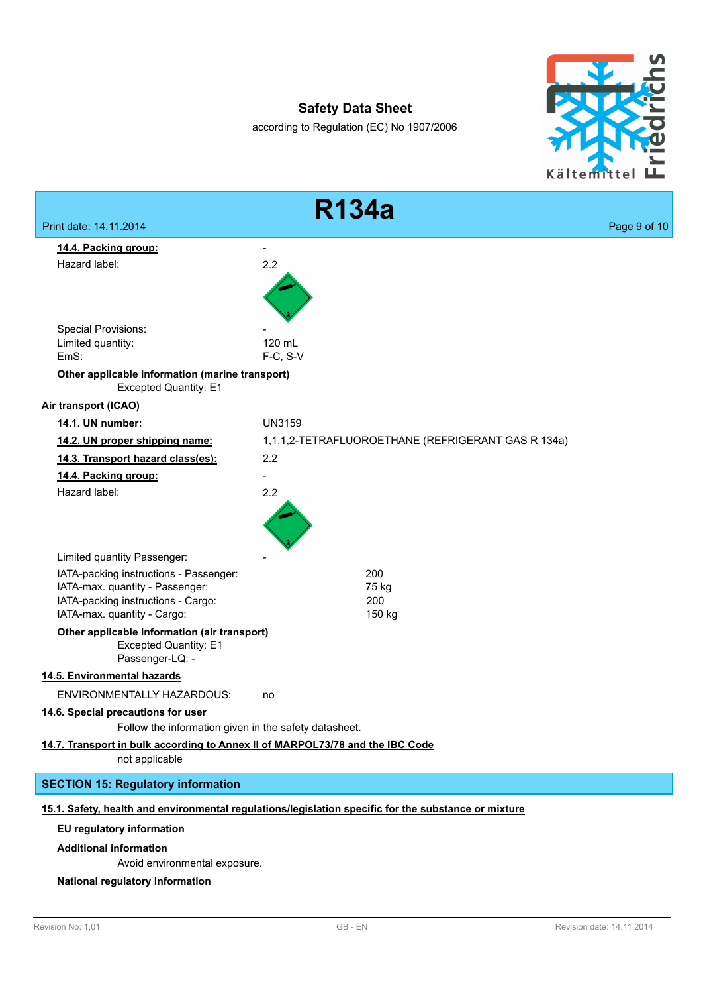according to Regulation (EC) No 1907/2006





Avoid environmental exposure.

#### **National regulatory information**